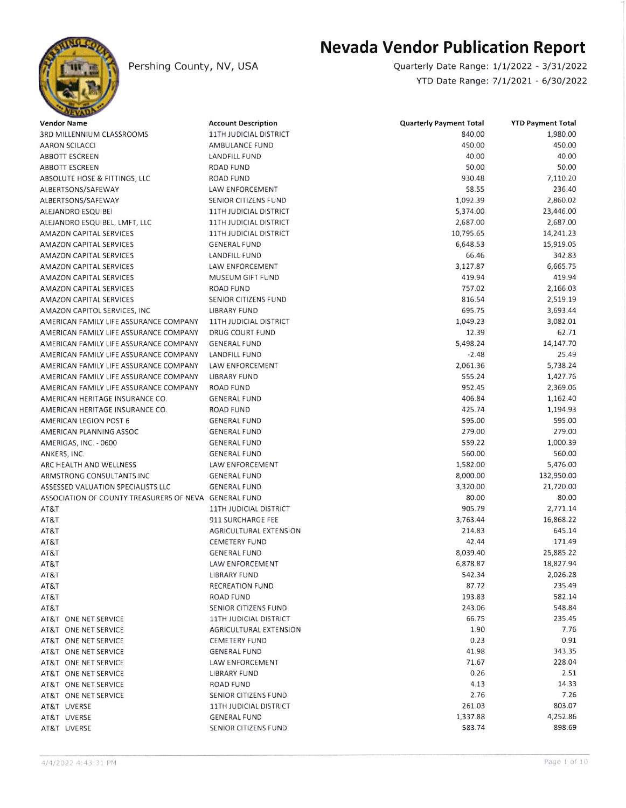

Pershing County, NV, USA

## Nevada Vendor Publication Report

Quarterly Date Range: 1/1/2022 - 3/31/2022 YTD Date Rangei 7/1/2021 - 6/30/2022

| <b>Vendor Name</b>                                    | <b>Account Description</b>                           | <b>Quarterly Payment Total</b> | <b>YTD Payment Total</b> |
|-------------------------------------------------------|------------------------------------------------------|--------------------------------|--------------------------|
| 3RD MILLENNIUM CLASSROOMS                             | <b>11TH JUDICIAL DISTRICT</b>                        | 840.00                         | 1,980.00                 |
| <b>AARON SCILACCI</b>                                 | AMBULANCE FUND                                       | 450.00                         | 450.00                   |
| ABBOTT ESCREEN                                        | LANDFILL FUND                                        | 40.00                          | 40.00                    |
| ABBOTT ESCREEN                                        | <b>ROAD FUND</b>                                     | 50.00                          | 50.00                    |
| ABSOLUTE HOSE & FITTINGS, LLC                         | <b>ROAD FUND</b>                                     | 930.48                         | 7,110.20                 |
| ALBERTSONS/SAFEWAY                                    | <b>LAW ENFORCEMENT</b>                               | 58.55                          | 236.40                   |
| ALBERTSONS/SAFEWAY                                    | SENIOR CITIZENS FUND                                 | 1,092.39                       | 2,860.02                 |
| ALEJANDRO ESQUIBEI                                    | <b>11TH JUDICIAL DISTRICT</b>                        | 5,374.00                       | 23,446.00                |
| ALEJANDRO ESQUIBEL, LMFT, LLC                         | <b>11TH JUDICIAL DISTRICT</b>                        | 2,687.00                       | 2,687.00                 |
| <b>AMAZON CAPITAL SERVICES</b>                        | <b>11TH JUDICIAL DISTRICT</b>                        | 10,795.65                      | 14,241.23                |
| <b>AMAZON CAPITAL SERVICES</b>                        | <b>GENERAL FUND</b>                                  | 6,648.53                       | 15,919.05                |
| <b>AMAZON CAPITAL SERVICES</b>                        | LANDFILL FUND                                        | 66.46                          | 342.83                   |
| AMAZON CAPITAL SERVICES                               | LAW ENFORCEMENT                                      | 3,127.87                       | 6,665.75                 |
| <b>AMAZON CAPITAL SERVICES</b>                        | MUSEUM GIFT FUND                                     | 419.94                         | 419.94                   |
| <b>AMAZON CAPITAL SERVICES</b>                        | <b>ROAD FUND</b>                                     | 757.02                         | 2,166.03                 |
| AMAZON CAPITAL SERVICES                               | SENIOR CITIZENS FUND                                 | 816.54                         | 2,519.19                 |
| AMAZON CAPITOL SERVICES, INC.                         | <b>LIBRARY FUND</b>                                  | 695.75                         | 3,693.44                 |
| AMERICAN FAMILY LIFE ASSURANCE COMPANY                | 11TH JUDICIAL DISTRICT                               | 1,049.23                       | 3,082.01                 |
| AMERICAN FAMILY LIFE ASSURANCE COMPANY                | <b>DRUG COURT FUND</b>                               | 12.39                          | 62.71                    |
| AMERICAN FAMILY LIFE ASSURANCE COMPANY                | <b>GENERAL FUND</b>                                  | 5,498.24                       | 14,147.70                |
| AMERICAN FAMILY LIFE ASSURANCE COMPANY                | <b>LANDFILL FUND</b>                                 | $-2.48$                        | 25.49                    |
| AMERICAN FAMILY LIFE ASSURANCE COMPANY                | LAW ENFORCEMENT                                      | 2,061.36                       | 5,738.24                 |
| AMERICAN FAMILY LIFE ASSURANCE COMPANY                | <b>LIBRARY FUND</b>                                  | 555.24                         | 1,427.76                 |
| AMERICAN FAMILY LIFE ASSURANCE COMPANY                | <b>ROAD FUND</b>                                     | 952.45                         | 2,369.06                 |
| AMERICAN HERITAGE INSURANCE CO.                       | <b>GENERAL FUND</b>                                  | 406.84                         | 1,162.40                 |
| AMERICAN HERITAGE INSURANCE CO.                       | <b>ROAD FUND</b>                                     | 425.74                         | 1,194.93                 |
| AMERICAN LEGION POST 6                                | <b>GENERAL FUND</b>                                  | 595.00                         | 595.00                   |
| AMERICAN PLANNING ASSOC                               | <b>GENERAL FUND</b>                                  | 279.00                         | 279.00                   |
| AMERIGAS, INC. - 0600                                 | <b>GENERAL FUND</b>                                  | 559.22                         | 1,000.39                 |
| ANKERS, INC.                                          | <b>GENERAL FUND</b>                                  | 560.00                         | 560.00                   |
| ARC HEALTH AND WELLNESS                               | LAW ENFORCEMENT                                      | 1,582.00                       | 5,476.00                 |
| ARMSTRONG CONSULTANTS INC                             | <b>GENERAL FUND</b>                                  | 8,000.00                       | 132,950.00               |
| ASSESSED VALUATION SPECIALISTS LLC                    | <b>GENERAL FUND</b>                                  | 3,320.00                       | 21,720.00                |
| ASSOCIATION OF COUNTY TREASURERS OF NEVA GENERAL FUND |                                                      | 80.00                          | 80.00                    |
| AT&T                                                  | 11TH JUDICIAL DISTRICT                               | 905.79                         | 2,771.14                 |
| AT&T                                                  | 911 SURCHARGE FEE                                    | 3,763.44                       | 16,868.22                |
| AT&T                                                  | AGRICULTURAL EXTENSION                               | 214.83                         | 645.14                   |
| AT&T                                                  | <b>CEMETERY FUND</b>                                 | 42.44                          | 171.49                   |
| AT&T                                                  | <b>GENERAL FUND</b>                                  | 8,039.40                       | 25,885.22                |
| AT&T                                                  | <b>LAW ENFORCEMENT</b>                               | 6,878.87                       | 18,827.94                |
| AT&T                                                  | LIBRARY FUND                                         | 542.34                         | 2,026.28                 |
| AT&T                                                  | <b>RECREATION FUND</b>                               | 87.72                          | 235.49                   |
| AT&T                                                  | <b>ROAD FUND</b>                                     | 193.83                         | 582.14                   |
| AT&T                                                  | SENIOR CITIZENS FUND                                 | 243.06                         | 548.84                   |
| AT&T ONE NET SERVICE                                  | 11TH JUDICIAL DISTRICT                               | 66.75                          | 235.45                   |
| AT&T ONE NET SERVICE                                  | <b>AGRICULTURAL EXTENSION</b>                        | 1.90                           | 7.76                     |
| AT&T ONE NET SERVICE                                  | <b>CEMETERY FUND</b>                                 | 0.23                           | 0.91                     |
| AT&T ONE NET SERVICE                                  | <b>GENERAL FUND</b>                                  | 41.98                          | 343.35                   |
| AT&T ONE NET SERVICE                                  | <b>LAW ENFORCEMENT</b>                               | 71.67                          | 228.04                   |
| AT&T ONE NET SERVICE                                  | LIBRARY FUND                                         | 0.26                           | 2.51                     |
| AT&T ONE NET SERVICE                                  | ROAD FUND                                            | 4.13                           | 14.33                    |
| AT&T ONE NET SERVICE                                  | SENIOR CITIZENS FUND                                 | 2.76                           | 7.26                     |
| AT&T UVERSE                                           |                                                      | 261.03                         | 803.07                   |
|                                                       | <b>11TH JUDICIAL DISTRICT</b><br><b>GENERAL FUND</b> | 1,337.88                       | 4,252.86                 |
| AT&T UVERSE                                           |                                                      | 583.74                         | 898.69                   |
| AT&T UVERSE                                           | SENIOR CITIZENS FUND                                 |                                |                          |